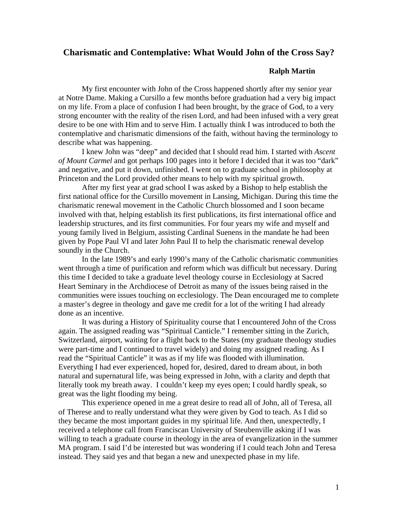## **Charismatic and Contemplative: What Would John of the Cross Say?**

## **Ralph Martin**

My first encounter with John of the Cross happened shortly after my senior year at Notre Dame. Making a Cursillo a few months before graduation had a very big impact on my life. From a place of confusion I had been brought, by the grace of God, to a very strong encounter with the reality of the risen Lord, and had been infused with a very great desire to be one with Him and to serve Him. I actually think I was introduced to both the contemplative and charismatic dimensions of the faith, without having the terminology to describe what was happening.

I knew John was "deep" and decided that I should read him. I started with *Ascent of Mount Carmel* and got perhaps 100 pages into it before I decided that it was too "dark" and negative, and put it down, unfinished. I went on to graduate school in philosophy at Princeton and the Lord provided other means to help with my spiritual growth.

After my first year at grad school I was asked by a Bishop to help establish the first national office for the Cursillo movement in Lansing, Michigan. During this time the charismatic renewal movement in the Catholic Church blossomed and I soon became involved with that, helping establish its first publications, its first international office and leadership structures, and its first communities. For four years my wife and myself and young family lived in Belgium, assisting Cardinal Suenens in the mandate he had been given by Pope Paul VI and later John Paul II to help the charismatic renewal develop soundly in the Church.

In the late 1989's and early 1990's many of the Catholic charismatic communities went through a time of purification and reform which was difficult but necessary. During this time I decided to take a graduate level theology course in Ecclesiology at Sacred Heart Seminary in the Archdiocese of Detroit as many of the issues being raised in the communities were issues touching on ecclesiology. The Dean encouraged me to complete a master's degree in theology and gave me credit for a lot of the writing I had already done as an incentive.

It was during a History of Spirituality course that I encountered John of the Cross again. The assigned reading was "Spiritual Canticle." I remember sitting in the Zurich, Switzerland, airport, waiting for a flight back to the States (my graduate theology studies were part-time and I continued to travel widely) and doing my assigned reading. As I read the "Spiritual Canticle" it was as if my life was flooded with illumination. Everything I had ever experienced, hoped for, desired, dared to dream about, in both natural and supernatural life, was being expressed in John, with a clarity and depth that literally took my breath away. I couldn't keep my eyes open; I could hardly speak, so great was the light flooding my being.

This experience opened in me a great desire to read all of John, all of Teresa, all of Therese and to really understand what they were given by God to teach. As I did so they became the most important guides in my spiritual life. And then, unexpectedly, I received a telephone call from Franciscan University of Steubenville asking if I was willing to teach a graduate course in theology in the area of evangelization in the summer MA program. I said I'd be interested but was wondering if I could teach John and Teresa instead. They said yes and that began a new and unexpected phase in my life.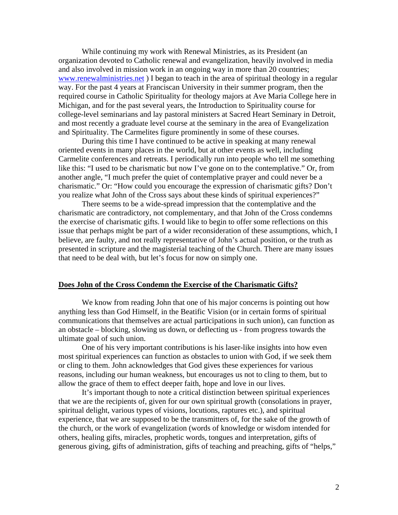While continuing my work with Renewal Ministries, as its President (an organization devoted to Catholic renewal and evangelization, heavily involved in media and also involved in mission work in an ongoing way in more than 20 countries; [www.renewalministries.net](http://www.renewalministries.net/) ) I began to teach in the area of spiritual theology in a regular way. For the past 4 years at Franciscan University in their summer program, then the required course in Catholic Spirituality for theology majors at Ave Maria College here in Michigan, and for the past several years, the Introduction to Spirituality course for college-level seminarians and lay pastoral ministers at Sacred Heart Seminary in Detroit, and most recently a graduate level course at the seminary in the area of Evangelization and Spirituality. The Carmelites figure prominently in some of these courses.

During this time I have continued to be active in speaking at many renewal oriented events in many places in the world, but at other events as well, including Carmelite conferences and retreats. I periodically run into people who tell me something like this: "I used to be charismatic but now I've gone on to the contemplative." Or, from another angle, "I much prefer the quiet of contemplative prayer and could never be a charismatic." Or: "How could you encourage the expression of charismatic gifts? Don't you realize what John of the Cross says about these kinds of spiritual experiences?"

There seems to be a wide-spread impression that the contemplative and the charismatic are contradictory, not complementary, and that John of the Cross condemns the exercise of charismatic gifts. I would like to begin to offer some reflections on this issue that perhaps might be part of a wider reconsideration of these assumptions, which, I believe, are faulty, and not really representative of John's actual position, or the truth as presented in scripture and the magisterial teaching of the Church. There are many issues that need to be deal with, but let's focus for now on simply one.

## **Does John of the Cross Condemn the Exercise of the Charismatic Gifts?**

We know from reading John that one of his major concerns is pointing out how anything less than God Himself, in the Beatific Vision (or in certain forms of spiritual communications that themselves are actual participations in such union), can function as an obstacle – blocking, slowing us down, or deflecting us - from progress towards the ultimate goal of such union.

One of his very important contributions is his laser-like insights into how even most spiritual experiences can function as obstacles to union with God, if we seek them or cling to them. John acknowledges that God gives these experiences for various reasons, including our human weakness, but encourages us not to cling to them, but to allow the grace of them to effect deeper faith, hope and love in our lives.

It's important though to note a critical distinction between spiritual experiences that we are the recipients of, given for our own spiritual growth (consolations in prayer, spiritual delight, various types of visions, locutions, raptures etc.), and spiritual experience, that we are supposed to be the transmitters of, for the sake of the growth of the church, or the work of evangelization (words of knowledge or wisdom intended for others, healing gifts, miracles, prophetic words, tongues and interpretation, gifts of generous giving, gifts of administration, gifts of teaching and preaching, gifts of "helps,"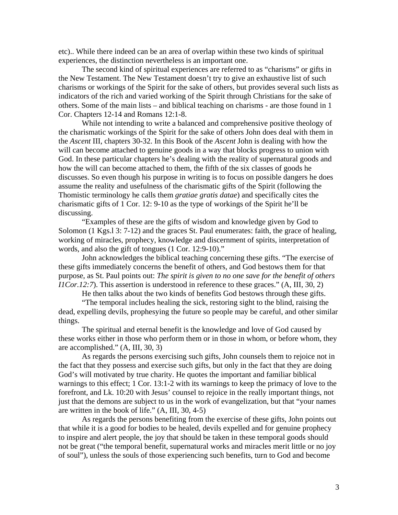etc).. While there indeed can be an area of overlap within these two kinds of spiritual experiences, the distinction nevertheless is an important one.

The second kind of spiritual experiences are referred to as "charisms" or gifts in the New Testament. The New Testament doesn't try to give an exhaustive list of such charisms or workings of the Spirit for the sake of others, but provides several such lists as indicators of the rich and varied working of the Spirit through Christians for the sake of others. Some of the main lists – and biblical teaching on charisms - are those found in 1 Cor. Chapters 12-14 and Romans 12:1-8.

While not intending to write a balanced and comprehensive positive theology of the charismatic workings of the Spirit for the sake of others John does deal with them in the *Ascent* III, chapters 30-32. In this Book of the *Ascent* John is dealing with how the will can become attached to genuine goods in a way that blocks progress to union with God. In these particular chapters he's dealing with the reality of supernatural goods and how the will can become attached to them, the fifth of the six classes of goods he discusses. So even though his purpose in writing is to focus on possible dangers he does assume the reality and usefulness of the charismatic gifts of the Spirit (following the Thomistic terminology he calls them *gratiae gratis datae*) and specifically cites the charismatic gifts of 1 Cor. 12: 9-10 as the type of workings of the Spirit he'll be discussing.

"Examples of these are the gifts of wisdom and knowledge given by God to Solomon (1 Kgs.1 3: 7-12) and the graces St. Paul enumerates: faith, the grace of healing, working of miracles, prophecy, knowledge and discernment of spirits, interpretation of words, and also the gift of tongues (1 Cor. 12:9-10)."

John acknowledges the biblical teaching concerning these gifts. "The exercise of these gifts immediately concerns the benefit of others, and God bestows them for that purpose, as St. Paul points out: *The spirit is given to no one save for the benefit of others I1Cor.12:7*). This assertion is understood in reference to these graces." (A, III, 30, 2)

He then talks about the two kinds of benefits God bestows through these gifts.

"The temporal includes healing the sick, restoring sight to the blind, raising the dead, expelling devils, prophesying the future so people may be careful, and other similar things.

The spiritual and eternal benefit is the knowledge and love of God caused by these works either in those who perform them or in those in whom, or before whom, they are accomplished." (A, III, 30, 3)

As regards the persons exercising such gifts, John counsels them to rejoice not in the fact that they possess and exercise such gifts, but only in the fact that they are doing God's will motivated by true charity. He quotes the important and familiar biblical warnings to this effect; 1 Cor. 13:1-2 with its warnings to keep the primacy of love to the forefront, and Lk. 10:20 with Jesus' counsel to rejoice in the really important things, not just that the demons are subject to us in the work of evangelization, but that "your names are written in the book of life." (A, III, 30, 4-5)

As regards the persons benefiting from the exercise of these gifts, John points out that while it is a good for bodies to be healed, devils expelled and for genuine prophecy to inspire and alert people, the joy that should be taken in these temporal goods should not be great ("the temporal benefit, supernatural works and miracles merit little or no joy of soul"), unless the souls of those experiencing such benefits, turn to God and become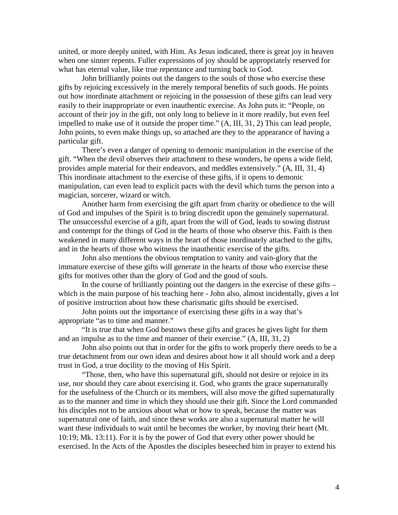united, or more deeply united, with Him. As Jesus indicated, there is great joy in heaven when one sinner repents. Fuller expressions of joy should be appropriately reserved for what has eternal value, like true repentance and turning back to God.

John brilliantly points out the dangers to the souls of those who exercise these gifts by rejoicing excessively in the merely temporal benefits of such goods. He points out how inordinate attachment or rejoicing in the possession of these gifts can lead very easily to their inappropriate or even inauthentic exercise. As John puts it: "People, on account of their joy in the gift, not only long to believe in it more readily, but even feel impelled to make use of it outside the proper time." (A, III, 31, 2) This can lead people, John points, to even make things up, so attached are they to the appearance of having a particular gift.

There's even a danger of opening to demonic manipulation in the exercise of the gift. "When the devil observes their attachment to these wonders, he opens a wide field, provides ample material for their endeavors, and meddles extensively." (A, III, 31, 4) This inordinate attachment to the exercise of these gifts, if it opens to demonic manipulation, can even lead to explicit pacts with the devil which turns the person into a magician, sorcerer, wizard or witch.

Another harm from exercising the gift apart from charity or obedience to the will of God and impulses of the Spirit is to bring discredit upon the genuinely supernatural. The unsuccessful exercise of a gift, apart from the will of God, leads to sowing distrust and contempt for the things of God in the hearts of those who observe this. Faith is then weakened in many different ways in the heart of those inordinately attached to the gifts, and in the hearts of those who witness the inauthentic exercise of the gifts.

John also mentions the obvious temptation to vanity and vain-glory that the immature exercise of these gifts will generate in the hearts of those who exercise these gifts for motives other than the glory of God and the good of souls.

In the course of brilliantly pointing out the dangers in the exercise of these gifts – which is the main purpose of his teaching here - John also, almost incidentally, gives a lot of positive instruction about how these charismatic gifts should be exercised.

John points out the importance of exercising these gifts in a way that's appropriate "as to time and manner."

"It is true that when God bestows these gifts and graces he gives light for them and an impulse as to the time and manner of their exercise." (A, III, 31, 2)

John also points out that in order for the gifts to work properly there needs to be a true detachment from our own ideas and desires about how it all should work and a deep trust in God, a true docility to the moving of His Spirit.

"Those, then, who have this supernatural gift, should not desire or rejoice in its use, nor should they care about exercising it. God, who grants the grace supernaturally for the usefulness of the Church or its members, will also move the gifted supernaturally as to the manner and time in which they should use their gift. Since the Lord commanded his disciples not to be anxious about what or how to speak, because the matter was supernatural one of faith, and since these works are also a supernatural matter he will want these individuals to wait until he becomes the worker, by moving their heart (Mt. 10:19; Mk. 13:11). For it is by the power of God that every other power should be exercised. In the Acts of the Apostles the disciples beseeched him in prayer to extend his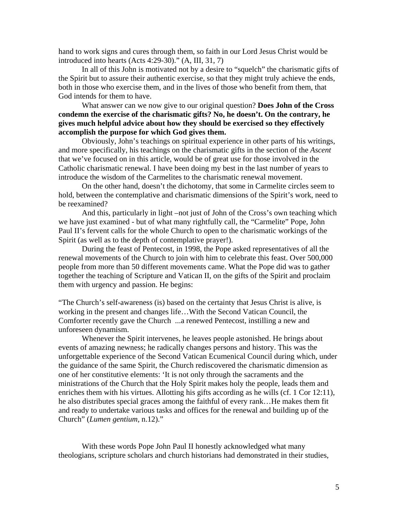hand to work signs and cures through them, so faith in our Lord Jesus Christ would be introduced into hearts (Acts 4:29-30)." (A, III, 31, 7)

In all of this John is motivated not by a desire to "squelch" the charismatic gifts of the Spirit but to assure their authentic exercise, so that they might truly achieve the ends, both in those who exercise them, and in the lives of those who benefit from them, that God intends for them to have.

What answer can we now give to our original question? **Does John of the Cross condemn the exercise of the charismatic gifts? No, he doesn't. On the contrary, he gives much helpful advice about how they should be exercised so they effectively accomplish the purpose for which God gives them.** 

Obviously, John's teachings on spiritual experience in other parts of his writings, and more specifically, his teachings on the charismatic gifts in the section of the *Ascent* that we've focused on in this article, would be of great use for those involved in the Catholic charismatic renewal. I have been doing my best in the last number of years to introduce the wisdom of the Carmelites to the charismatic renewal movement.

On the other hand, doesn't the dichotomy, that some in Carmelite circles seem to hold, between the contemplative and charismatic dimensions of the Spirit's work, need to be reexamined?

And this, particularly in light –not just of John of the Cross's own teaching which we have just examined - but of what many rightfully call, the "Carmelite" Pope, John Paul II's fervent calls for the whole Church to open to the charismatic workings of the Spirit (as well as to the depth of contemplative prayer!).

During the feast of Pentecost, in 1998, the Pope asked representatives of all the renewal movements of the Church to join with him to celebrate this feast. Over 500,000 people from more than 50 different movements came. What the Pope did was to gather together the teaching of Scripture and Vatican II, on the gifts of the Spirit and proclaim them with urgency and passion. He begins:

"The Church's self-awareness (is) based on the certainty that Jesus Christ is alive, is working in the present and changes life…With the Second Vatican Council, the Comforter recently gave the Church ...a renewed Pentecost, instilling a new and unforeseen dynamism.

Whenever the Spirit intervenes, he leaves people astonished. He brings about events of amazing newness; he radically changes persons and history. This was the unforgettable experience of the Second Vatican Ecumenical Council during which, under the guidance of the same Spirit, the Church rediscovered the charismatic dimension as one of her constitutive elements: 'It is not only through the sacraments and the ministrations of the Church that the Holy Spirit makes holy the people, leads them and enriches them with his virtues. Allotting his gifts according as he wills (cf. 1 Cor 12:11), he also distributes special graces among the faithful of every rank…He makes them fit and ready to undertake various tasks and offices for the renewal and building up of the Church" (*Lumen gentium,* n.12)."

With these words Pope John Paul II honestly acknowledged what many theologians, scripture scholars and church historians had demonstrated in their studies,